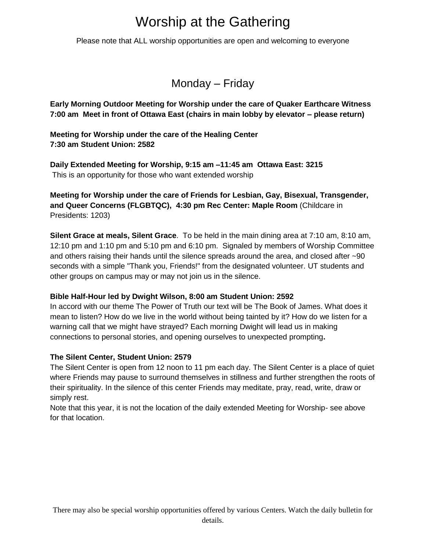# Worship at the Gathering

Please note that ALL worship opportunities are open and welcoming to everyone

Monday – Friday

**Early Morning Outdoor Meeting for Worship under the care of Quaker Earthcare Witness 7:00 am Meet in front of Ottawa East (chairs in main lobby by elevator – please return)**

**Meeting for Worship under the care of the Healing Center 7:30 am Student Union: 2582**

**Daily Extended Meeting for Worship, 9:15 am –11:45 am Ottawa East: 3215** This is an opportunity for those who want extended worship

**Meeting for Worship under the care of Friends for Lesbian, Gay, Bisexual, Transgender, and Queer Concerns (FLGBTQC), 4:30 pm Rec Center: Maple Room** (Childcare in Presidents: 1203)

**Silent Grace at meals, Silent Grace**. To be held in the main dining area at 7:10 am, 8:10 am, 12:10 pm and 1:10 pm and 5:10 pm and 6:10 pm. Signaled by members of Worship Committee and others raising their hands until the silence spreads around the area, and closed after ~90 seconds with a simple "Thank you, Friends!" from the designated volunteer. UT students and other groups on campus may or may not join us in the silence.

#### **Bible Half-Hour led by Dwight Wilson, 8:00 am Student Union: 2592**

In accord with our theme The Power of Truth our text will be The Book of James. What does it mean to listen? How do we live in the world without being tainted by it? How do we listen for a warning call that we might have strayed? Each morning Dwight will lead us in making connections to personal stories, and opening ourselves to unexpected prompting**.**

#### **The Silent Center, Student Union: 2579**

The Silent Center is open from 12 noon to 11 pm each day. The Silent Center is a place of quiet where Friends may pause to surround themselves in stillness and further strengthen the roots of their spirituality. In the silence of this center Friends may meditate, pray, read, write, draw or simply rest.

Note that this year, it is not the location of the daily extended Meeting for Worship- see above for that location.